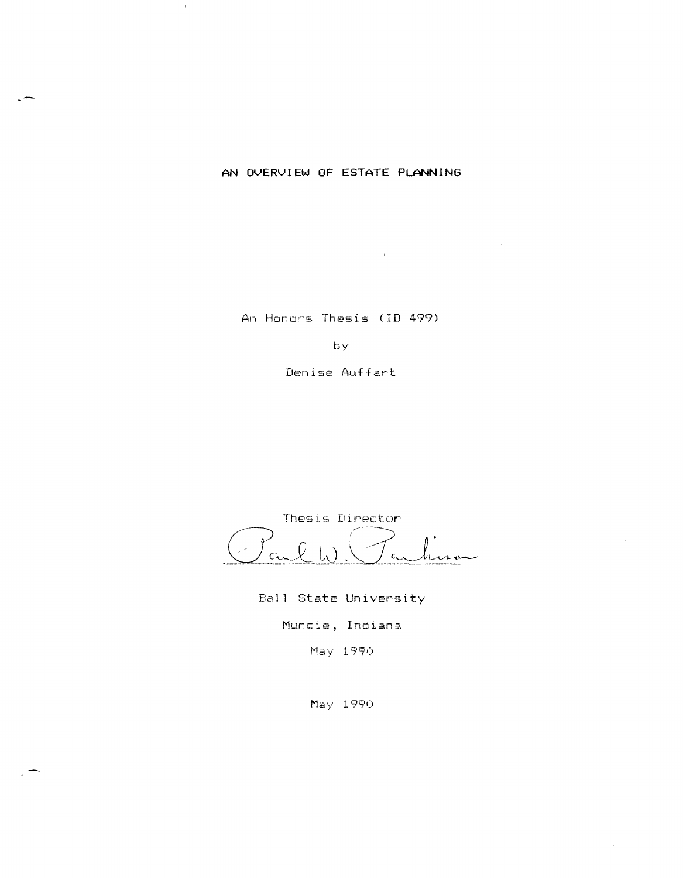# AN **OVERVIEW OF ESTATE PLANNING**

÷.

An Honors Thesis (ID 499)

 $\mathcal{L}^{\text{max}}_{\text{max}}$  and  $\mathcal{L}^{\text{max}}_{\text{max}}$ 

by

Denise Auffart

Thesis Director  $\mathcal{Q}$  $C_{\text{tot}}$  $\epsilon$ 

Ball State University

Muncie, Indiana

May 1990

May 1990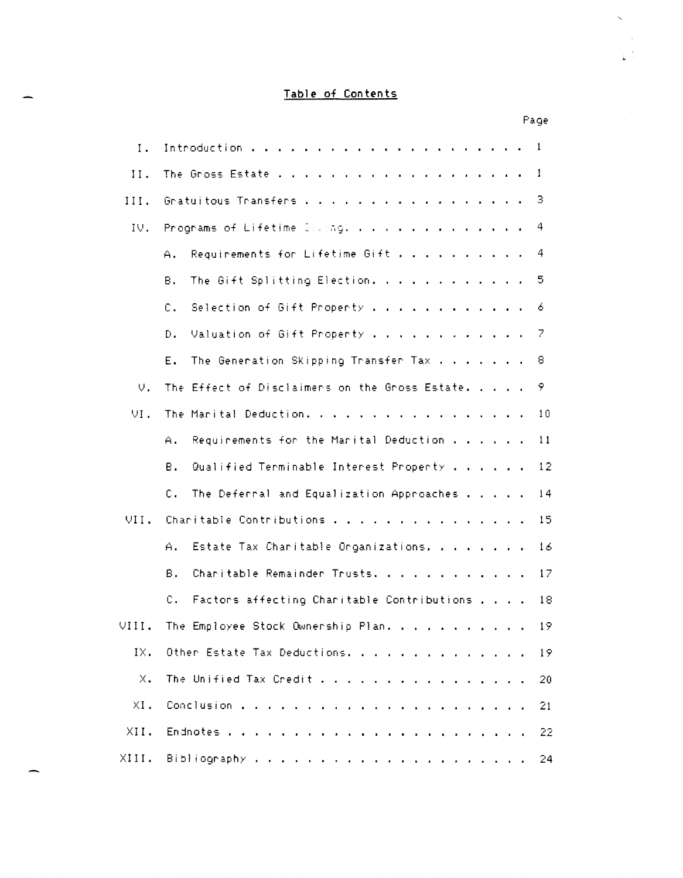# Table of Contents

|            |                                                             | nage.           |
|------------|-------------------------------------------------------------|-----------------|
| Ι.         |                                                             |                 |
| 11.        |                                                             |                 |
| III.       | Gratuitous Transfers 3                                      |                 |
| IV.        | Programs of Lifetime Giving. 4                              |                 |
|            | Requirements for Lifetime Gift 4<br>$A_{\perp}$             |                 |
|            | The Gift Splitting Election. 5<br>Β.                        |                 |
|            | Selection of Gift Property 6<br>c.                          |                 |
|            | Valuation of Gift Property 7<br>Đ.                          |                 |
|            | The Generation Skipping Transfer Tax 8<br>Е.                |                 |
| $\cup$ .   | The Effect of Disclaimers on the Gross Estate. 9            |                 |
| VI.        | The Marital Deduction.                                      | 10              |
|            | Requirements for the Marital Deduction $\ldots$<br>Α.       | $\overline{11}$ |
|            | Qualified Terminable Interest Property 12<br>В.             |                 |
|            | The Deferral and Equalization Approaches<br>C.              | 14              |
|            | VII. Charitable Contributions 15                            |                 |
|            | Estate Tax Charitable Organizations.<br>A.,                 | 16              |
|            | В.<br>Charitable Remainder Trusts. 17                       |                 |
|            | C.<br>Factors affecting Charitable Contributions , , , , 18 |                 |
| VIII.      | The Employee Stock Ownership Plan.                          | 19              |
| IX.        | Other Estate Tax Deductions.                                | 19              |
| $\times$ . | The Unified Tax Credit                                      | 20              |
| $XI$ .     |                                                             | 21              |
| XII.       |                                                             | 22              |
| XIII.      |                                                             | 24              |

Page

 $\bar{\zeta}$ 

 $\sim$  $\frac{1}{4}$  .  $\frac{1}{4}$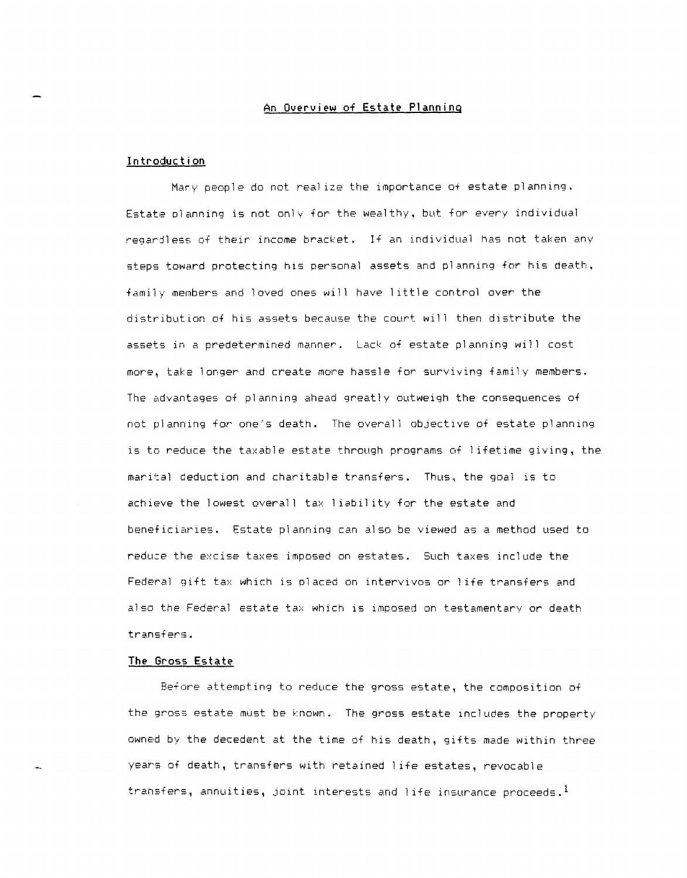# **An Overview of Estate Planning**

#### **Introduction**

Mary people do not real ize the importance of estate planning. Estate olanning is not only for the wealthy, but for every individual regarjless of their income bracket. If an individual has not taken any steps toward protecting his personal assets and planning for his death, family members and loved ones will have little control over the distribution of his assets because the court will then distribute the assets in a predetermined manner. Lack of estate planning will cost more, take longer and create more hassle for surviving family members. The advantages of planning ahead greatly outweigh the consequences of not planning for one's death. The overall objective of estate planning is to reduce the taxable estate through programs of I ifetime giving, the marital deduction and charitable transfers. Thus. the goal is to achieve the lowest overall tax I iabil ity for the estate and beneficiaries. Estate planning can also be viewed as a method used to reduce the excise taxes imposed on estates. Such taxes include the Federal gift tax which is placed on intervivos or 1 ife transfers and also the Federal estate tax which is imposed on testamentary or death transfers.

## **The Gross Estate**

Before attempting to reduce the gross estate, the composition of the gross estate must be known. The gross estate includes the property owned by the decedent at the time of his death, gifts made within three years of death, transfers with retained I ife estates, revocable transfers, annuities, joint interests and life insurance proceeds.<sup>1</sup>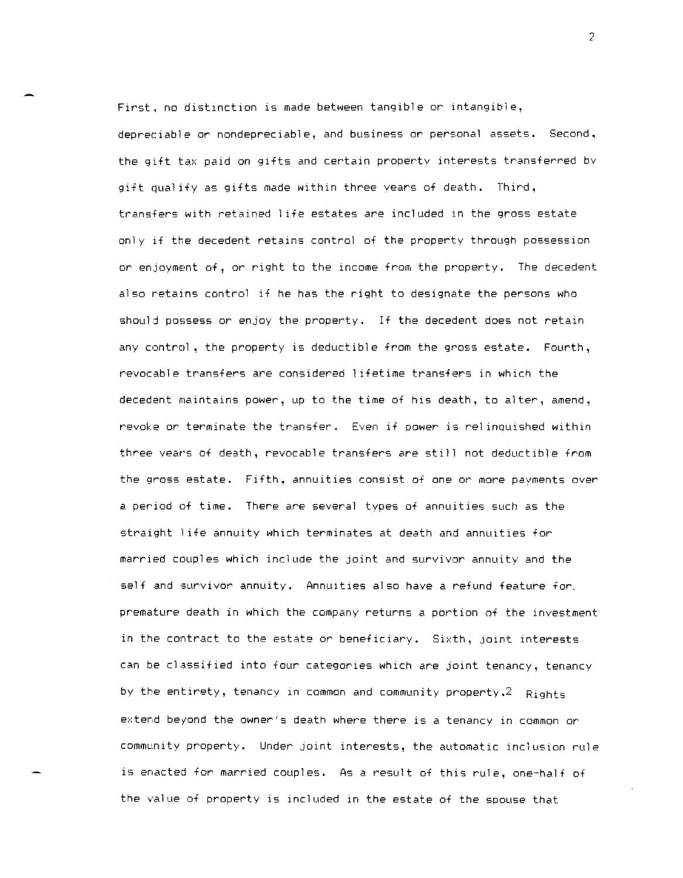First, no distinction is made between tangible or intangible, depreciable or nondepreciable, and business or personal assets. Second. the gift tax paid on gifts and certain property interests transferred bv gift qual ify as gifts made within three years of death. Third, transfers with retained 1 ife estates are included in the gross estate only if the decedent retains control of the property through possession or enjoyment of, or right to the income from the property. The decedent also retains control if he has the right to designate the persons who should possess or enjoy the property. If the decedent does not retain any control, the property is deductible from the gross estate. Fourth, revocable transfers are considered lifetime transfers in which the decedent maintains power, up to the time of his death, to alter, amend, revoke or terminate the transfer. Even if power is reI inquished within three years of death, revocable transfers are still not deductible from the gross estate. Fifth. annuities consist of one or more payments over a period of time. There are several types of annuities such as the straight 1 ife annuity which terminates at death and annuities for married couples which include the joint and survivor annuity and the self and survivor annuity. Annuities also have a refund feature for. premature death in which the company returns a portion of the investment in the contract to the estate or beneficiary. Sixth, joint interests can be classified into four categories which are joint tenancy, tenancy by the entirety, tenancy in common and community property. $2$  Rights extend beyond the owner's death where there is a tenancy in common or community property. Under joint interests, the automatic inclusion rule is enacted for married couples. As a result of this rule, one-half of the value of property is included in the estate of the spouse that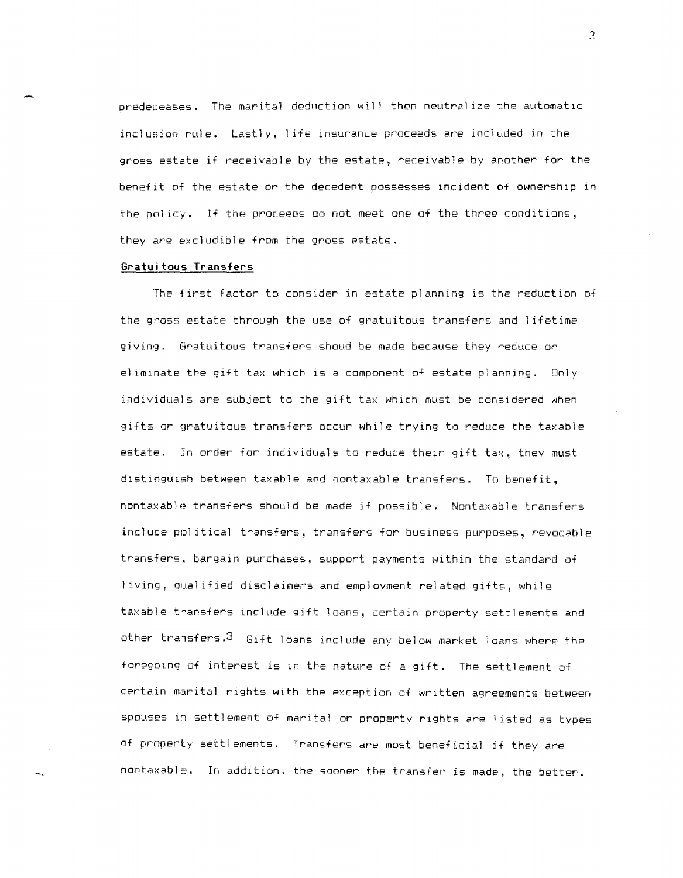predeceases. The marital deduction will then neutral ize the automatic inclusion rule. Lastly, life insurance proceeds are included in the gross estate if receivable by the estate, receivable by another for the benefit of the estate or the decedent possesses incident of ownership in the policy. If the proceeds do not meet one of the three conditions, they are excludible from the gross estate.

#### **Gratuitous Transfers**

The first factor to consider in estate planning is the reduction of the gross estate through the use of gratuitous transfers and lifetime giving. Gratuitous transfers shoud be made because they reduce or el iminate the gift tax which is a component of estate planning. Only individuals are subject to the gift tax which must be considered when gifts or gratuitous transfers occur while trying to reduce the taxable estate. In order for individuals to reduce their gift tax, they must distinguish between taxable and nontaxable transfers. To benefit, nontaxable transfers should be made if possible. Nontaxable transfers include pol itical transfers, transfers for business purposes, revocable transfers, bargain purchases, support payments within the standard of <sup>I</sup>iving, qual ified disclaimers and employment related gifts, while taxable transfers include gift loans, certain property settlements and other transfers.3 Gift loans include any below market loans where the foregoing of interest is in the nature of a gift. The settlement of certain marital rights with the exception of written agreements between spouses in settlement of marital or property rights are listed as types of property settlements. Transfers are most beneficial if they are nontaxable. In addition, the sooner the transfer is made, the better.

 $\overline{S}$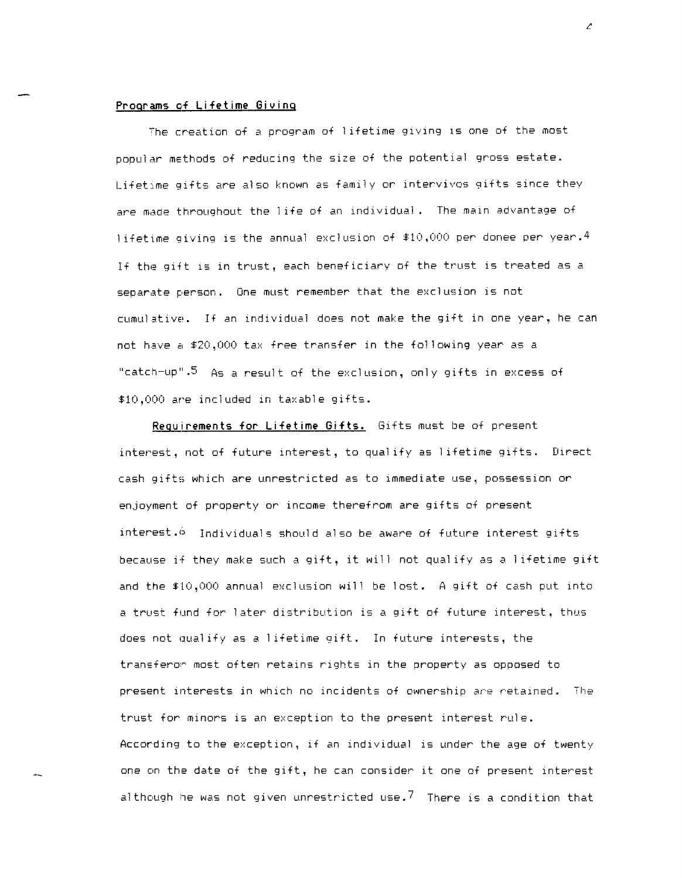## Programs of Lifetime Giving

7he creation of a program of lifetime giving is one of the most popular methods of reducing the size of the potential gross estate. LifetIme gifts are also known as family or intervivos gifts since they are made throughout the I ife of an individual. The main advantage of lifetime giving is the annual exclusion of  $$10,000$  per donee per year.<sup>4</sup> If the gift is in trust, each beneficiary of the trust is treated as a separate person. One must remember that the exclusion is not cumulative. If an individual does not make the gift in one year, he can not have a  $$20,000$  tax free transfer in the following year as a "catch-up".<sup>5</sup> As a result of the exclusion, only gifts in excess of \$10,000 are included in taxable gifts.

Requirements for Lifetime Gifts. Gifts must be of present interest, not of future interest, to qual ify as 1 ifetime gifts. Direct cash gifts which are unrestricted as to immediate use, possession or enjoyment of property or income therefrom are gifts of present interest.6 Individuals should also be aware of future interest gifts because if they make such a gift, it will not qualify as a lifetime gift and the \$10,000 annual exclusion will be lost. A gift of cash put into a trust fund for later distribution is a gift of future interest, thus does not qualify as a I ifetime gift. In future interests, the transferor most often retains rights in the property as opposed to present interests in which no incidents of ownership are retained. The trust for minors is an exception to the present interest rule. According to the exception, if an individual is under the age of twenty one on the date of the gift, he can consider it one of present interest although he was not given unrestricted use. $^7\,$  There is a condition that

 $\mathcal{L}$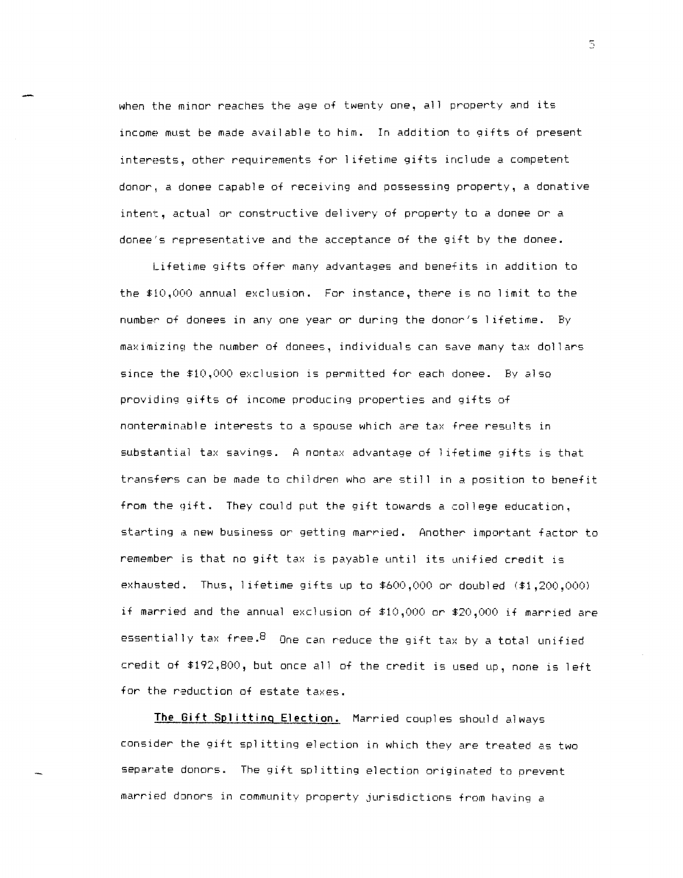when the minor reaches the age of twenty one, all property and its income must be made available to him. In addition to gifts of present interests, other requirements for 1 ifetime gifts include a competent donor, a donee capable of receiving and possessing property, a donative intent, actual or constructive delivery of property to a donee or a donee's representative and the acceptance of the gift by the donee.

Lifetime gifts offer many advantages and benefits in addition to the  $$10,000$  annual exclusion. For instance, there is no limit to the number of donees in anyone year or during the donor's I ifetime. By maximizing the number of donees, individuals can save many tax dollars since the 510,000 exclusion is permitted for each donee. By also providing gifts of income producing properties and gifts of nonterminable interests to a spouse which are tax free results in sUbstantial tax savings. A nontax advantage of 1 ifetime gifts is that transfers can be made to children who are still in a position to benefit from the gift. They could put the gift towards a college education, starting a new business or getting married. Another important factor to remember is that no gift tax is payable until its unified credit is exhausted. Thus, lifetime gifts up to  $$600,000$  or doubled  $($1,200,000)$ if married and the annual exclusion of  $$10,000$  or  $$20,000$  if married are essentially tax free.  $B$  One can reduce the gift tax by a total unified credit of \$192,800, but once all of the credit is used up, none is left for the reduction of estate taxes.

The Gift Splitting Election. Married couples should always consider the gift splitting election in which they are treated as two separate donors. The gift splitting election originated to prevent married donors in community property jurisdictions from having a

 $\overline{5}$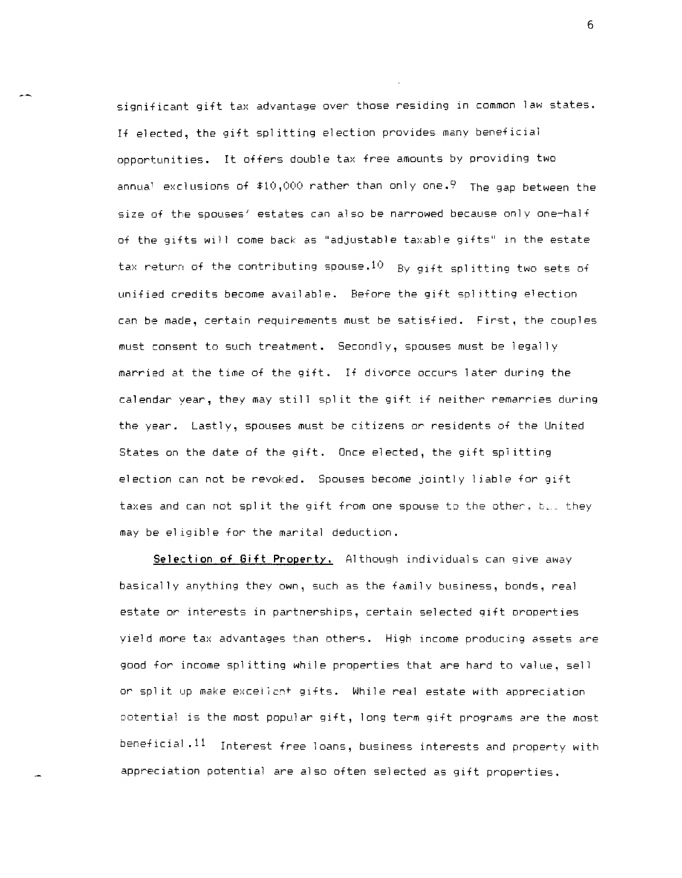significant gift tax advantage over those residing in common law states. If elected, the gift spl itting election provides many beneficial opportunities. It offers double tax free amounts by providing two annual exclusions of  $$10,000$  rather than only one.<sup>9</sup> The gap between the size of the spouses' estates can also be narrowed because only one-half of the gifts will come back as "adjustable taxable gifts" in the estate tax return of the contributing spouse.  $10$  By gift splitting two sets of unified credits become available. Before the gift splitting election can be made, certain requirements must be satisfied. First, the couples must consent to such treatment. Secondly, spouses must be legally married at the time of the gift. If divorce occurs later during the calendar year, they may still split the gift if neither remarries during the year. Lastly, spouses must be citizens or residents of the United States on the date of the gift. Once elected, the gift splitting election can not be revoked. Spouses become jointly 1 iable for gift taxes and can not split the gift from one spouse to the other. b... they may be el igible for the marital deduction.

**Selection of Gift Property.** Although individuals can give away basically anything they own, such as the familv business, bonds, real estate or interests in partnerships, certain selected gift oroperties yield more tax advantages than others. High income producing assets are good for income splitting while properties that are hard to value, sell or split up make exceliant gifts. While real estate with appreciation potential is the most popular gift, long term gift programs are the most beneficial. 11 Interest free loans, business interests and property with appreciation potential are also often selected as gift properties.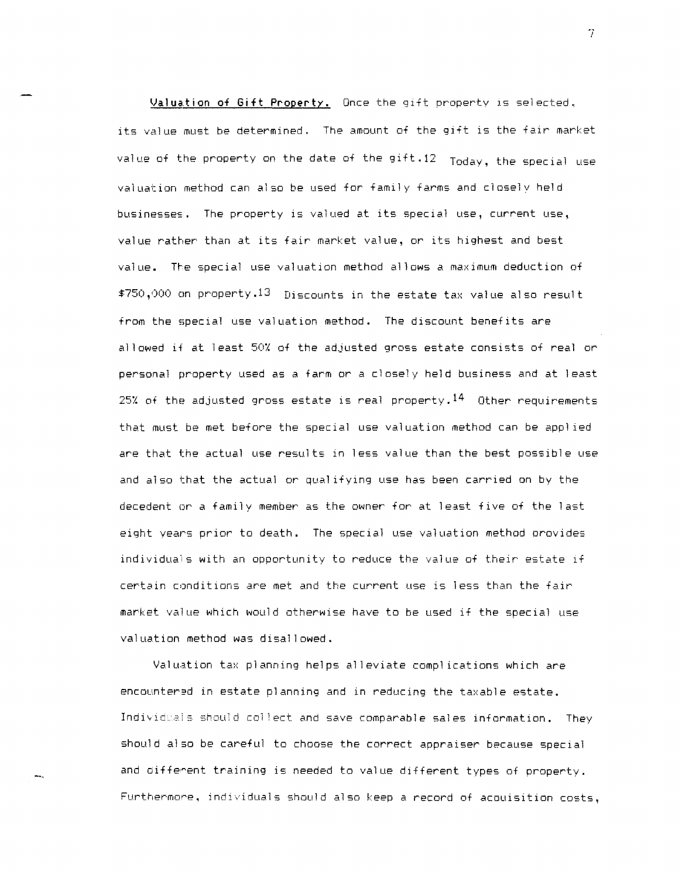**Valuation of Gift Property.** Once the gift property IS selected. its value must be determined. The amount of the gift is the fair market value of the property on the date of the gift.12 Today, the special use valuation method can also be used for family farms and closelv held businesses. The property is valued at its special use, current use, value rather than at its fair market value, or its highest and best value. The special use valuation method allows a maximum deduction of \$750,000 an property.13 Discounts in the estate tax value also result from the special use valuation method. The discount benefits are allowed if at least 50% of the adjusted gross estate consists of real or personal property used as a farm or a closely held business and at least 25% of the adjusted gross estate is real property. $^{14}$  Other requirements that must be met before the special use valuation method can be app1 ied are that the actual use results in less value than the best possible use and also that the actual or qual ifying use has been carried on by the decedent or a family member as the owner for at least five of the last eight years prior to death. The special use valuation method provides individuals with an opportunity to reduce the value of their estate if certain conditions are met and the current use is less than the fair market value which would otherwise have to be used if the special use valuation method was disallowed.

Valuation tax planning helps alleviate compl ications which are encountered in estate planning and in reducing the taxable estate. Individuals should collect and save comparable sales information. They should also be careful to choose the correct appraiser because special and diffe~ent training is needed to value different types of property. Furthermore, individuals should also keep a record of acquisition costs,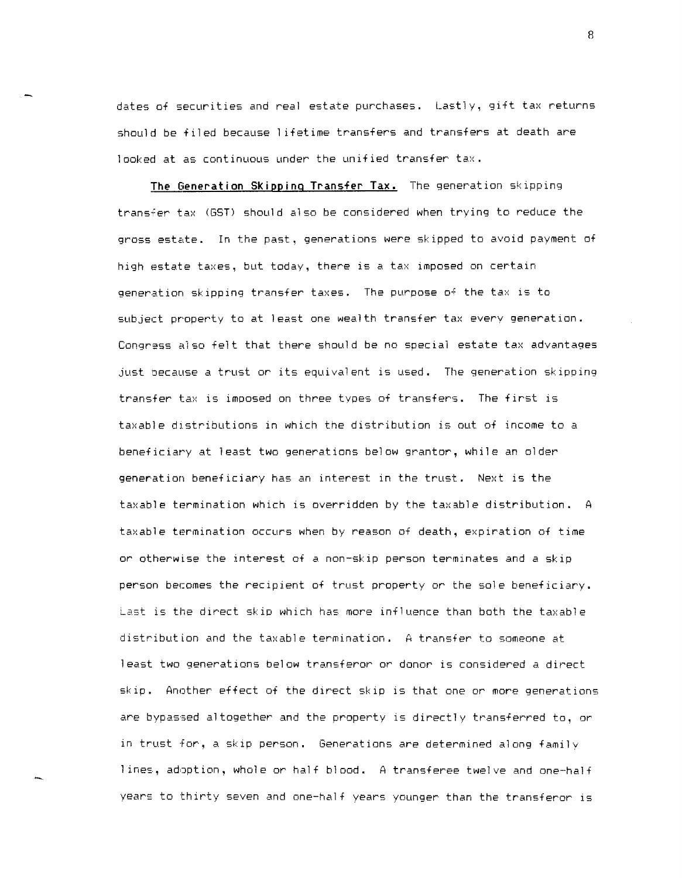dates of securities and real estate purchases. Lastly, gift tax returns should be filed because I ifetime transfers and transfers at death are looked at as continuous under the unified transfer tax.

**The Generation Skipping Transfer Tax.** The generation skipping trans;er tax (GST) should also be considered when trying to reduce the gross estate. In the past, generations were skipped to avoid payment of high estate taxes, but today, there is a tax imposed on certain generation skipping transfer taxes. The purpose of the tax is to subject property to at least one wealth transfer tax every generation. Congress also felt that there should be no special estate tax advantages just Decause a trust or its equivalent is used. The generation skipping transfer tax is imposed on three types of transfers. The first is taxable distributions in which the distribution is out of income to a beneficiary at least two generations below grantor, while an older generation beneficiary has an interest in the trust. Next is the taxable termination which is overridden by the taxable distribution. A taxable termination occurs when by reason of death, expiration of time or otherwise the interest of a non-skip person terminates and a skip person becomes the recipient of trust property or the sole beneficiary. Last is the direct skip which has more influence than both the taxable distribution and the taxable termination. A transfer to someone at least two generations below transferor or donor is considered a direct skip. Another effect of the direct skip is that one or more generations are bypassed altogether and the property is directly transferred to, or in trust for, a skip person. Generations are determined along family I ines, adoption, whole or half blood. A transferee twelve and one-half years to thirty seven and one-half years younger than the transferor is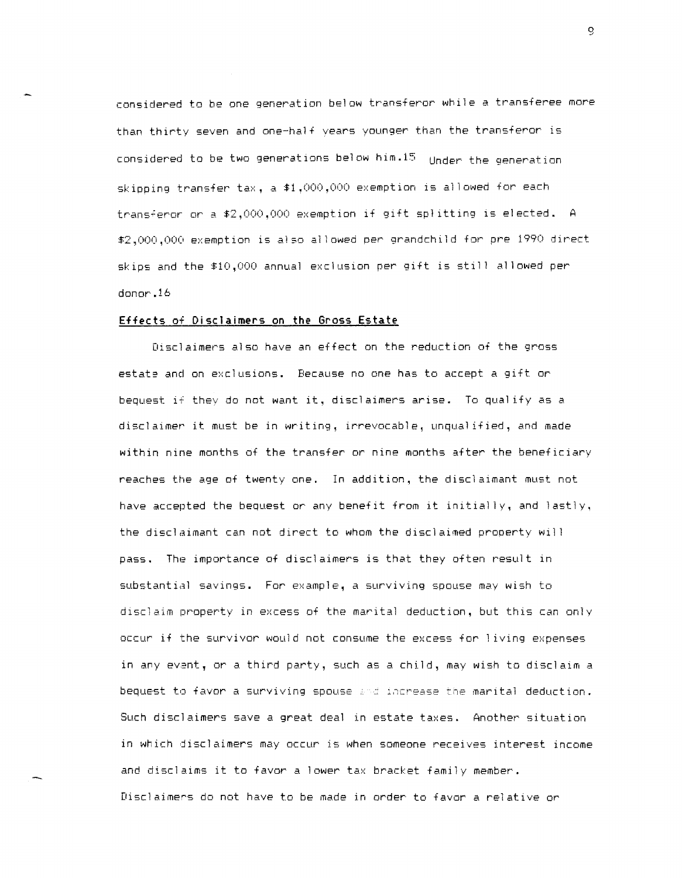considered to be one generation below transferor while a transferee more than thirty seven and one-half vears younger than the transferor is considered to be two generations below him.15 Under the generation skipping transfer tax, a \$1,000,000 exemption is allowed for each transferor or a \$2,000,000 exemption if gift splitting is elected. A \$2,000,000 exemption is also allowed per grandchild for pre 1990 direct skips and the \$10,000 annual exclusion per gift is still allowed per donor.16

#### **Effects of Disclaimers on the Gross Estate**

Disclaimers also have an effect on the reduction of the gross estate and on exclusions. Because no one has to accept a gift or bequest if they do not want it, disclaimers arise. To qual ify as a disclaimer it must be in writing, irrevocable, unqualified, and made within nine months of the transfer or nine months after the beneficiary reaches the age of twenty one. In addition, the disclaimant must not have accepted the bequest or any benefit from it initially, and lastly, the disclaimant can not direct to whom the disclaimed prooerty will pass. The importance of disclaimers is that they often result in substantial savings. For example, a surviving spouse may wish to disclaim property in excess of the marital deduction, but this can only occur if the survivor would not consume the excess for I iving expenses in any evant, or a third party, such as a child, may wish to disclaim a bequest to favor a surviving spouse and increase the marital deduction. Such disclaimers save a great deal in estate taxes. Another situation in which disclaimers may occur is when someone receives interest income and disclaims it to favor a lower tax bracket family member. Disclaimers do not have to be made in order to favor a relative or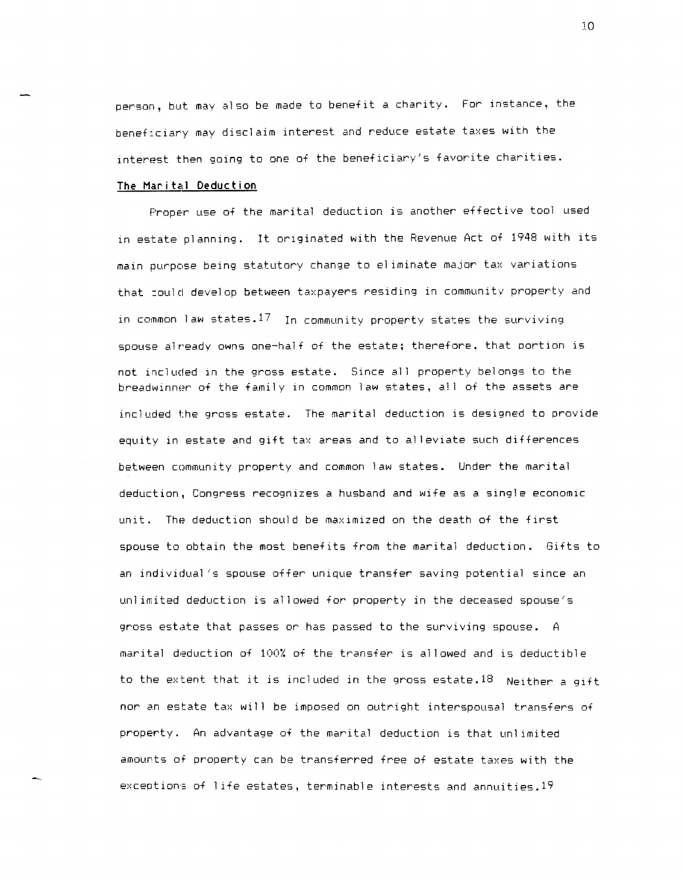person, but may also be made to benefit a charity. For instance, the beneficiary may disclaim interest and reduce estate taxes with the interest then going to one of the beneficiary's favorite charities.

#### **The Marital Deduction**

Proper use of the marital deduction is another effective tool used in estate planning. It originated with the Revenue Act of 1948 with its main purpose being statutory change to el iminate major tax variations that :ould develop between taxpayers residing in community property and in common law states.  $17\,$  In community property states the surviving spouse already owns one-half of the estate; therefore. that portion is not included in the gross estate. Since all property belongs to the breadwinner of the family in common law states, all of the assets are included the gross estate. The marital deduction is designed to provide equity in estate and gift tax areas and to alleviate such differences between community property and common law states. Under the marital deduction, Congress recognizes a husband and wife as a single economic unit. The deduction should be maximized on the death of the first spouse to obtain the most benefits from the marital deduction. Gifts to an individual's spouse offer unique transfer saving potential since an unl imited deduction is allowed for property in the deceased spouse's gross estate that passes or has passed to the surviving spouse. A marital deduction of 100X of the transfer is allowed and is deductible to the extent that it is included in the gross estate.<sup>18</sup> Neither a gift nor an estate tax will be imposed on outright interspousal transfers of property. An advantage of the marital deduction is that unlimited amourts of property can be transferred free of estate taxes with the exceptions of I ife estates, terminable interests and annuities.19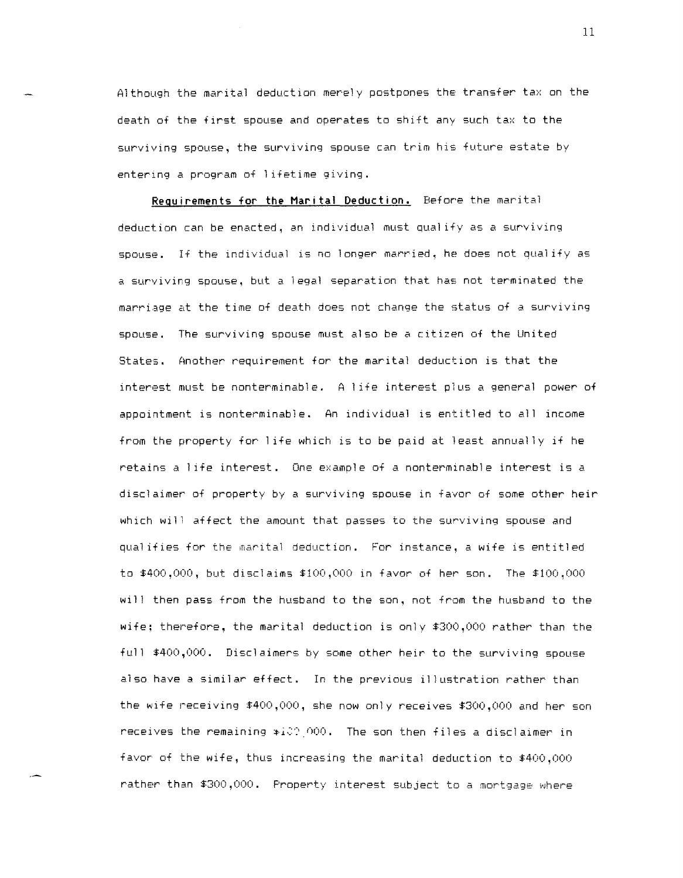Although the marital deduction merely postpones the transfer tax on the death of the first spouse and operates to shift any such tax to the surviving spouse, the surviving spouse can trim his future estate by entering a program of lifetime giving.

**Requirements for the Marital Deduction.** Before the marital deduction can be enacted, an individual must qual ify as a surviving spouse. If the individual is no longer married, he does not qualify as a surviving spouse, but a legal separation that has not terminated the marriage at the time of death does not change the status of a surviving spouse. The surviving spouse must also be a citizen of the United States. Another requirement for the marital deduction is that the interest must be nonterminable. A life interest plus a general power of appointment is nonterminable. An individual is entitled to all income from the property for I ife which is to be paid at least annually if he retains a I ife interest. One example of a nonterminable interest is a disclaimer of property by a surviving spouse in favor of some other heir which will affect the amount that passes to the surviving spouse and qual ifies for the marital deduction. For instance, a wife is entitled to  $$400,000$ , but disclaims  $$100,000$  in favor of her son. The  $$100,000$ will then pass from the husband to the son, not from the husband to the wife: therefore, the marital deduction is only \$300,000 rather than the full \$400,000. Disclaimers by some other heir to the surviving spouse also have a similar effect. In the previous illustration rather than the wife receiving \$400,000, she now only receives \$300,000 and her son receives the remaining  $*i$  $000$ . The son then files a disclaimer in favor of the wife, thus increasing the marital deduction to \$400,000 rather than \$300,000. Property interest subject to a mortgage where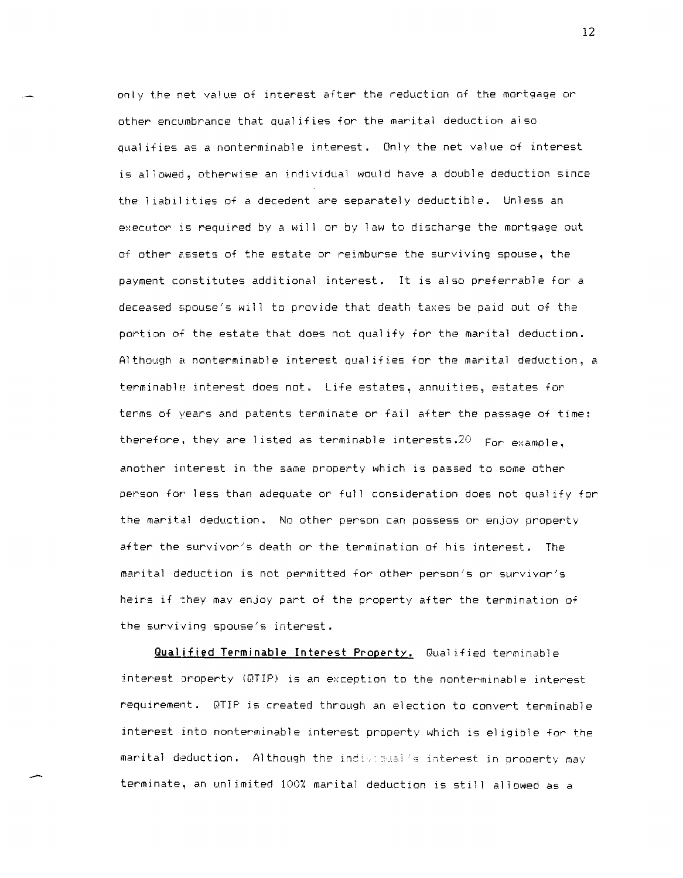only the net value of interest after the reduction of the mortgage or other encumbrance that qual ifies for the marital deduction also qual ifies as a nonterminable interest. Only the net value of interest is allowed, otherwise an individual would have a double deduction since the liabil ities of a decedent are separately deductible. Unless an executor is required by a will or by law to discharge the mortgage out of other assets of the estate or reimburse the surviving spouse, the payment constitutes additional interest. It is also preferrable for a deceased spouse's will to provide that death taxes be paid out of the portion of the estate that does not qual ify for the marital deduction. Although a nonterminable interest qualifies for the marital deduction, a terminable interest does not. Life estates, annuities, estates for terms of years and patents terminate or fail after the passage of time; therefore, they are listed as terminable interests.  $20$  For example, another interest in the same property which is passed to some other person for less than adequate or full consideration does not qualify for the marital deduction. No other person can possess or enjoy property after the survivor's death or the termination of his interest. The marital deduction is not permitted for other person's or survivor's heirs if they may enjoy part of the property after the termination of the surviving spouse's interest.

**Qual ified Terminable Interest Property.** Qual ified terminable interest oroperty (DTIP) is an exception to the nonterminable interest requirement. DTIP is created through an election to convert terminable interest into nonterminable interest property which is el igible for the marital deduction. Although the individual's interest in property may terminate, an unlimited 100% marital deduction is still allowed as a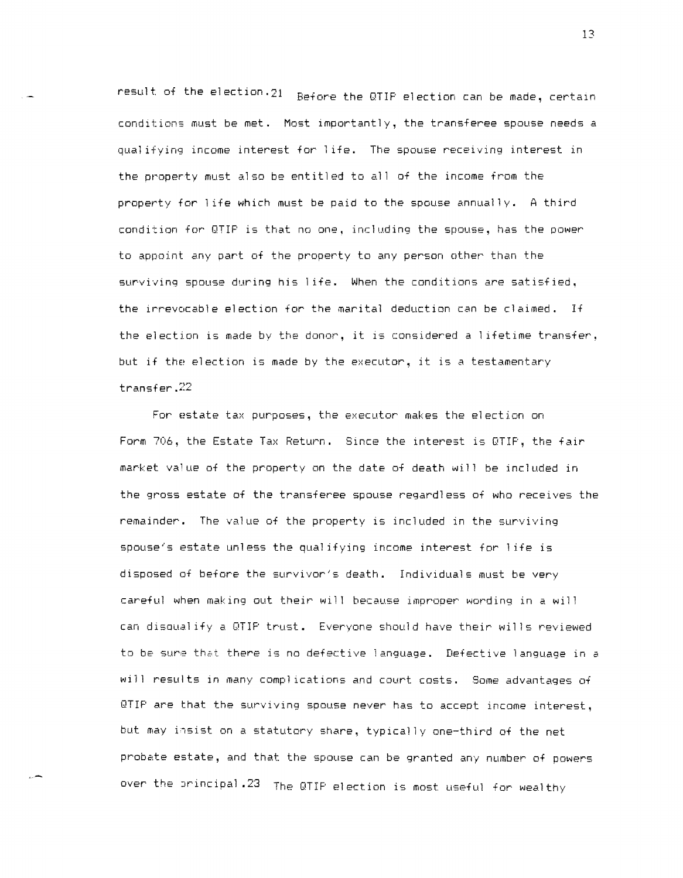result of the election.21 Before the QTIP election can be made, certain conditions must be met. Most importantly, the transferee spouse needs a qual ifying income interest for 1 ife. The spouse receiving interest in the property must also be entitled to all of the income from the property for life which must be paid to the spouse annually. A third condition for QTIP is that no one, including the spouse, has the power to appoint any part of the property to any person other than the surviving spouse during his 1 ife. When the conditions are satisfied, the irrevocable election for the marital deduction can be claimed. If the election is made by the donor, it is considered a I ifetime transfer, but if the election is made by the executor, it is a testamentary transfer.22

For estate tax purposes, the executor makes the election on Form 706, the Estate Tax Return. Since the interest is QTIP, the fair market value of the property on the date of death will be included in the gross estate of the transferee spouse regardless of who receives the remainder. The value of the property is included in the surviving spouse's estate unless the qualifying income interest for I ife is disposed of before the survivor's death. Individuals must be very careful when making out their will because improoer wording in a will can disoual ify a QTIP trust. Everyone should have their wills reviewed to be sure that there is no defective language. Defective language in a will results in many compl ications and court costs. Some advantages of QTIP are that the surviving spouse never has to accept income interest, but may insist on a statutory share, typically one-third of the net probate estate, and that the spouse can be granted any number of powers over the principal .23 The QTIP election is most useful for wealthy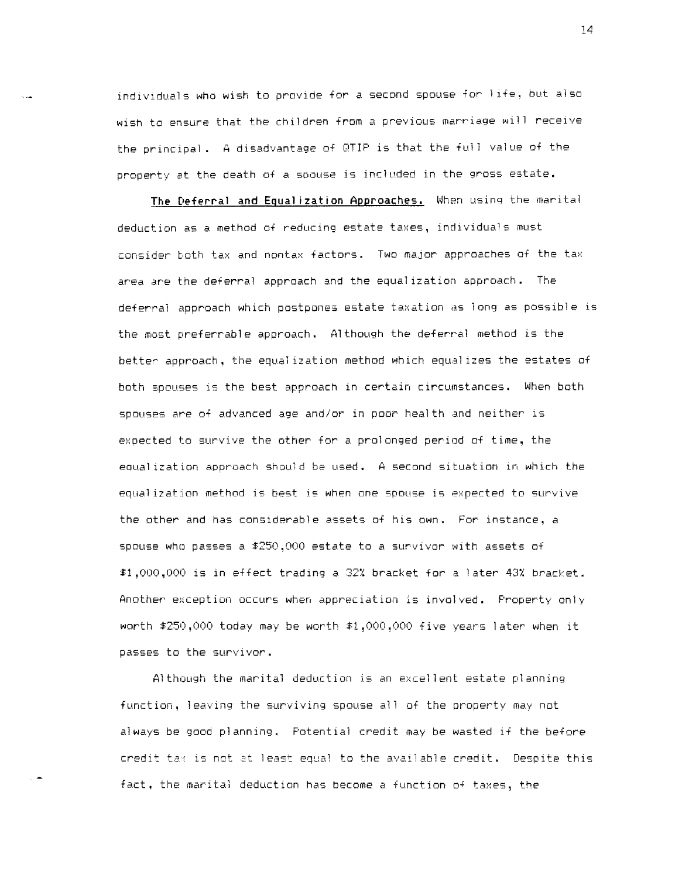individuals who wish to provide for a second spouse for life, but also wish to ensure that the children from a previous marriage will receive the principal, A disadvantage of QTIP is that the full value of the property at the death of a SDouse is included in the gross estate.

**The Deferral and Equal ization Approaches.** When using the marital deduction as a method of reducing estate taxes, individuals must consider both tax and nontax factors. Two major approaches of the tax area are the deferral approach and the equal ization approach. The deferral approach which postpones estate taxation as long as possible is the most preferrable approach. Although the deferral method is the better approach, the equal ization method which equal izes the estates of both spouses is the best approach in certain circumstances. When both spouses are of advanced age and/or in poor health and neither is expected to survive the other for a prolonged period of time, the equal ization approach should be used. A second situation in which the equalization method is best is when one spouse is expected to survive the other and has considerable assets of his own. For instance, a spouse who passes a \$250,000 estate to a survivor with assets of \$1,000,000 is in effect trading a 32% bracket for a later 43% bracket. Another exception occurs when appreciation is involved. Property only worth \$250,000 today may be worth \$1,000,000 five years later when it passes to the survivor.

Although the marital deduction is an excellent estate planning function, leaving the surviving spouse all of the property may not always be good planning, Potential credit may be wasted if the before  $c$ redit ta $\times$  is not at least equal to the available credit. Despite this fact, the marital deduction has become a function of taxes, the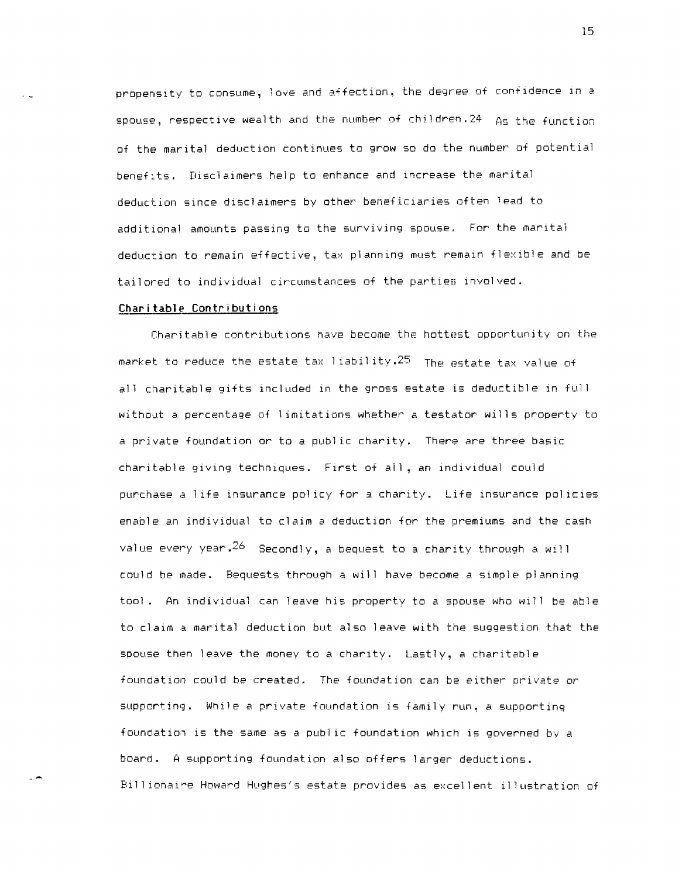propensity to consume, love and affection, the degree of confidence in a spouse, respective wealth and the number of children.24 As the function of the marital deduction continues to grow so do the number of potential beneflts. Disclaimers help to enhance and increase the marital deduction since disclaimers by other beneficiaries often lead to additional amounts passing to the surviving spouse. For the marital deduction to remain effective, tax planning must remain flexible and be tailored to individual circumstances of the parties involved.

# **Charitable Contributions**

Charitable contributions have become the hottest opportunity on the market to reduce the estate tax I iabil ity.25 The estate tax value of all charitable gifts included in the gross estate is deductible in full without a percentage of I imitations whether a testator wills property to a private foundation or to a publ ic charity. There are three basic charitable giving techniques. First of all, an individual could purchase a life insurance pol icy for a charity. Life insurance policies enable an individual to claim a deduction for the premiums and the cash value every year.  $26$  Secondly, a bequest to a charity through a will could be made. Bequests through a will have become a simple planning tool. An individual can leave his property to a spouse who will be able to claim a marital deduction but also leave with the suggestion that the spouse then leave the money to a charity. Lastly, a charitable foundation could be created. The foundation can be either orivate or supporting. While a private foundation is family run, a supporting foundation is the same as a public foundation which is governed by a board. A supporting foundation also offers larger deductions. Billionaire Howard Hughes's estate provides as excellent illustration of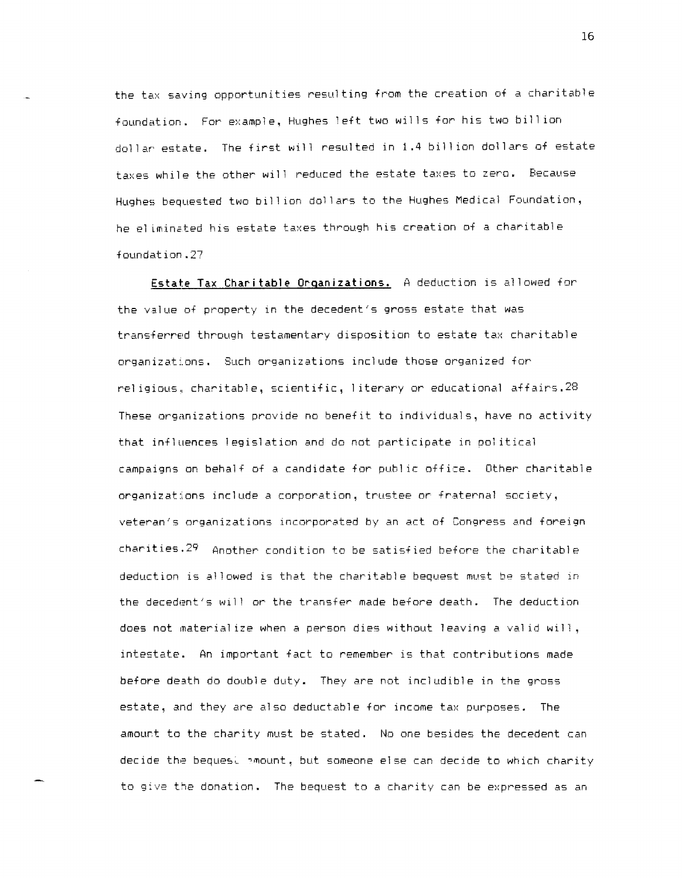the tax saving opportunities resulting from the creation of a charitable foundation. For example, Hughes left two wills for his two bill ion dollar estate. The first will resulted in 1.4 bill ion dollars of estate taxes while the other will reduced the estate taxes to zero. Because Hughes bequested two bill ion dollars to the Hughes Medical Foundation, he el iminsted his estate taxes through his creation of a charitable foundation.27

**Estate Tax Charitable Organizations.** A deduction is allowed for the value of property in the decedent's gross estate that was transferred through testamentary disposition to estate tax charitable organizat:ons. Such organizations include those organized for reI igious. charitable, scientific, I iterary or educational affairs.28 These organizations provide no benefit to individuals, have no activity that influences legislation and do not participate in pol itical campaigns on behalf of a candidate for publ ic office. Other charitable organizations include a corporation, trustee or fraternal society, veteran's organizations incorporated by an act of Congress and foreign charities.29 Another condition to be satisfied before the charitable deduction is allowed is that the charitable bequest must be stated in the decedent's will or the transfer made before death. The deduction does not material ize when a person dies without leaving a val id will, intestate. An important fact to remember is that contributions made before de3th do double duty. They are not includible in the gross estate, and they are also deductable for income tax purposes. The amourt to the charity must be stated. No one besides the decedent can decide the bequest amount, but someone else can decide to which charity to give the donation. The bequest to a charity can be expressed as an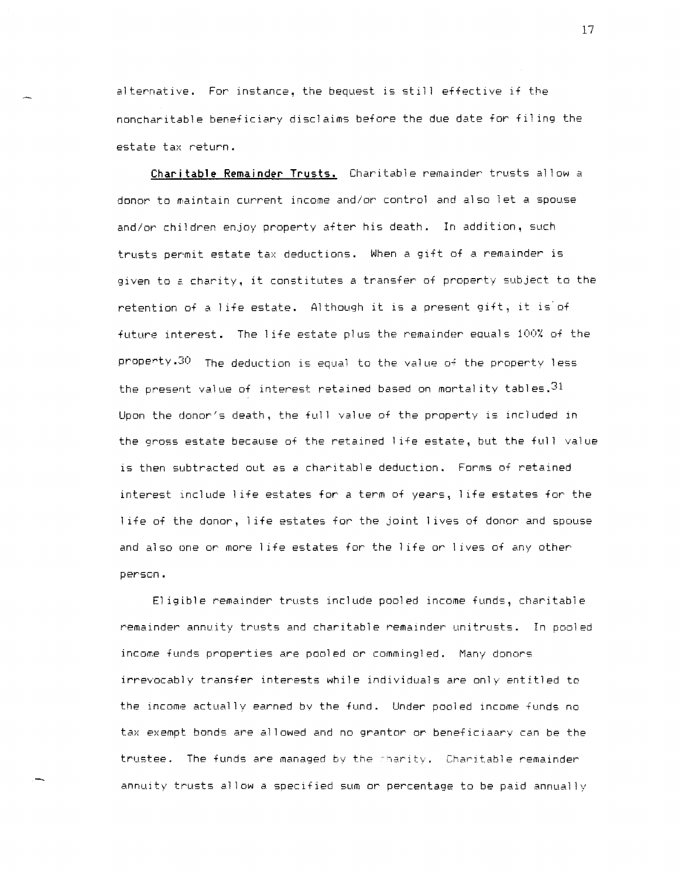alternative. For instance, the bequest is still effective if the noncharitable beneficiary disclaims before the due date for fi1 in9 the estate tax return.

**Charitable Remainder Trusts.** Charitable remainder trusts allow a donor to maintain current income and/or control and also let a spouse and/or children enjoy property after his death. In addition, such trusts permit estate tax deductions. When a gift of a remainder is given to a charity, it constitutes a transfer of property subject to the retention of a I ife estate. Although it is a present gift, it is'of future interest. The life estate plus the remainder equals 100% of the property. $30$  The deduction is equal to the value of the property less the present value of interest retained based on mortality tables.  $3^1$ Upon the donor's death, the full value of the property is included in the gross estate because of the retained 1 ife estate, but the full value is then subtracted out as a charitable deduction. Forms of retained interest Include 1 ife estates for a term of years, 1 ife estates for the 1 ife of the donor, 1 ife estates for the joint I ives of donor and spouse and also one or mare I ife estates for the I ife or I ives of any other perscn.

El igible remainder trusts include pooled income funds, charitable remainder annuity trusts and charitable remainder unitrusts. In pooled income funds properties are pooled or commingled. Many donors irrevocably transfer interests while individuals are only entitled to the income actually earned by the fund. Under pooled income funds no tax exempt bonds are allowed and no grantor or beneficiaary can be the trustee. The funds are managed by the charity. Charitable remainder annuity trusts allow a specified sum or percentage to be paid annual Iv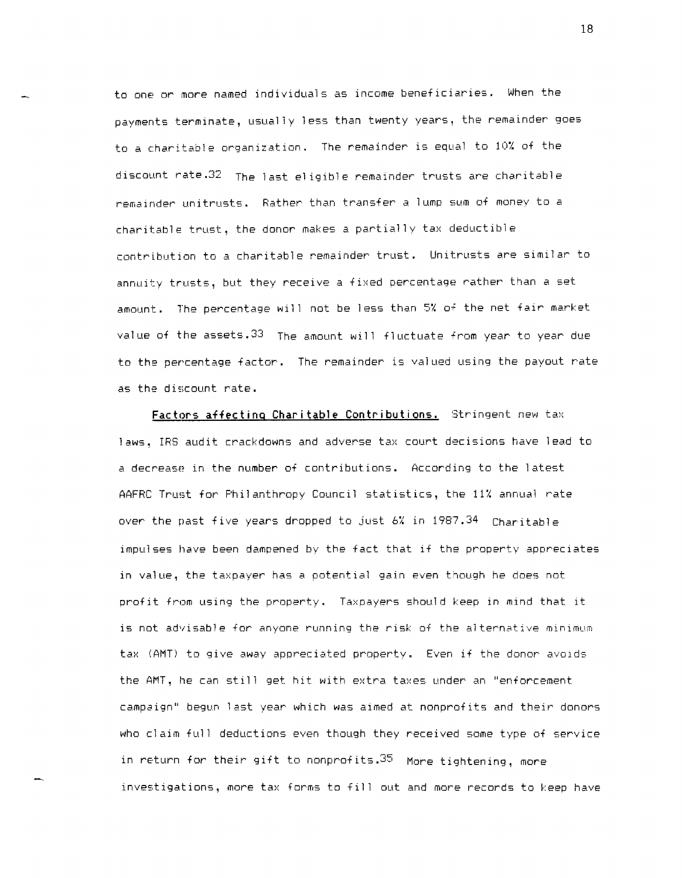to one or more named individuals as income beneficiaries. When the payments terminate, usually less than twenty years, the remainder goes to a charitable organization. The remainder is equal to lOX of the discount rate.32 The last eligible remainder trusts are charitable remainder unitrusts. Rather than transfer a lump sum of monev to a charitable trust, the donor makes a partially tax deductible contribution to a charitable remainder trust. Unitrusts are similar to annuity trusts, but they receive a fixed percentage rather than a set amount. The percentage will not be less than 5% of the net fair market value of the assets.33 The amount will fluctuate from year to year due to the percentage factor. The remainder is valued using the payout rate as the discount rate.

**Factors affecting Charitable Contributions.** Stringent new tax laws, IRS audit crackdowns and adverse tax court decisions have lead to a decrease in the number of contributions. According to the latest AAFRC Trust for Philanthropy Council statistics, the 11% annual rate over the past five years dropped to just 6% in 1987.34 Charitable impulses have been dampened by the fact that if the property aporeciates in value, the taxpayer has a potential gain even though he does not profit from using the property. Taxpayers should keep in mind that it is not advisable for anyone running the risk of the alternative minimum tax (AMT) to give away appreciated property. Even if the donor avoids the AMT, he can still get hit with extra taxes under an "enforcement campaign" begun last year which was aimed at nonprofits and their donors who claim full deductions even though they received some type of service in return for their gift to nonprofits. 35 More tightening, more investigations, more tax forms to fill out and more records to keep have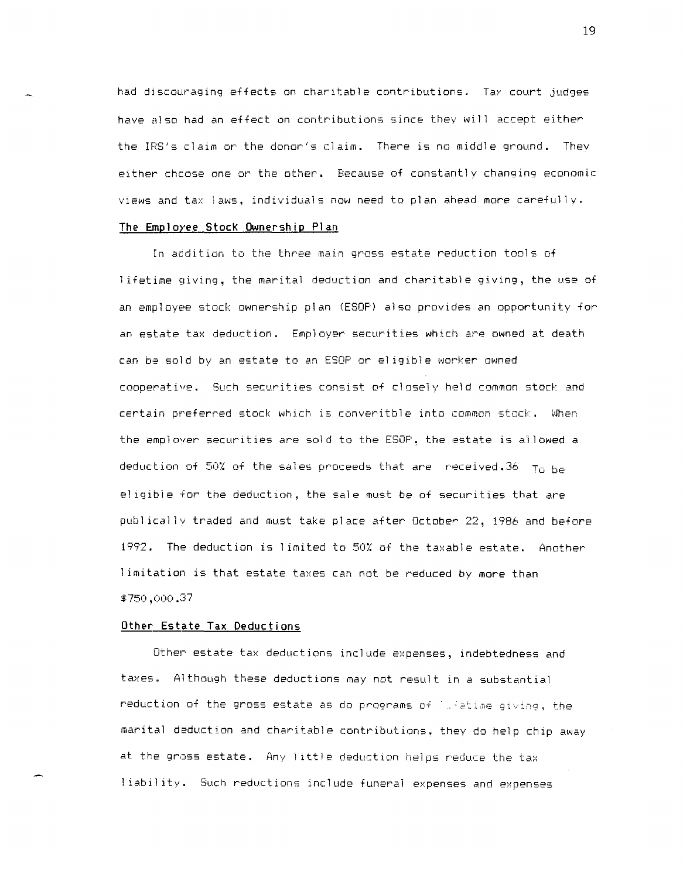had discouraging effects on charitable contributions. Tax court judges have also had an effect on contributions since they will accept either the IRS's claim or the donor's claim. There is no middle ground. Thev either chcose one or the other. Because of constantly changing economic views and tax laws, individuals now need to plan ahead more carefully.

# **The Emp 1** *oree* **Stocl< Ownersh i p PI an**

In aedition to the three main gross estate reduction tools of 1 ifetime giving, the marital deduction and charitable giving, the use of an employee stock ownership plan (ESOP) also provides an opportunity for an estate tax deduction. Employer securities which are owned at death can be sold by an estate to an ESOP or eligible worker owned cooperative. Such securities consist of closely held common stock and certain preferred stock which is converitble into common stock. When the employer securities are sold to the ESOP, the estate is allowed a deduction of 50% of the sales proceeds that are received.36  $T_0$  be el igible for the deduction, the sale must be of securities that are publ icallv traded and must take place after October 22, 1986 and before 1992. The deduction is 1 imited to 50% of the taxable estate. Another limitation is that estate taxes can not be reduced by more than \$750,000.37

#### **Other Estate Tax Deductions**

Other estate tax deductions include expenses, indebtedness and taxes. Although these deductions may not result in a substantial reduction of the gross estate as do programs of lifetime giving, the marital deduction and charitable contributions, they do help chip away at the gross estate. Any 1 ittle deduction helps reduce the tax 1 iabil ity. Such reductions include funeral expenses and expenses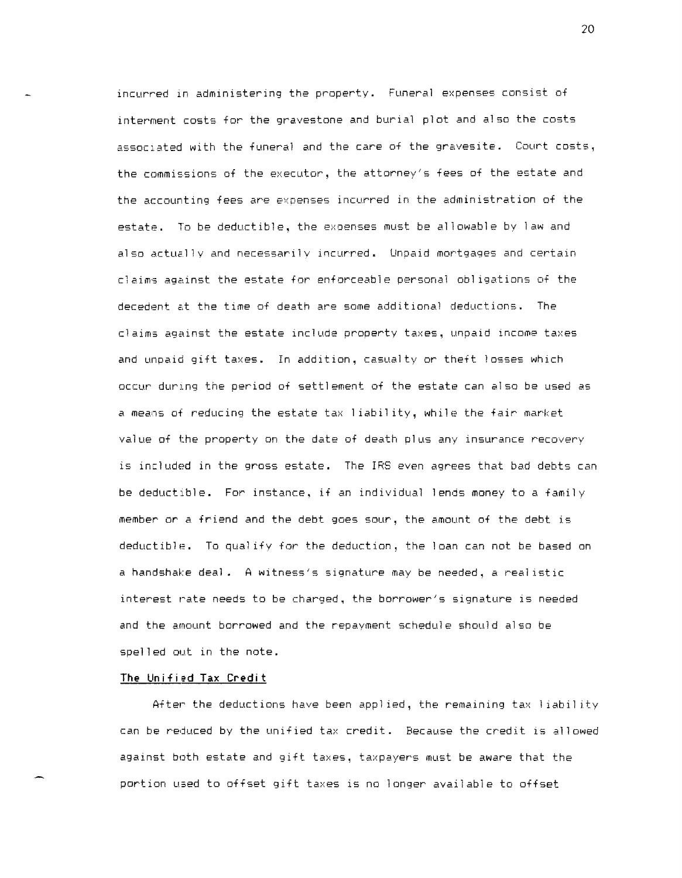incurred in administering the property. Funeral expenses consist of interment costs for the gravestone and burial plot and also the costs associated with the funeral and the care of the gravesite. Court costs, the commissions of the executor, the attorney's fees of the estate and the accounting fees are expenses incurred in the administration of the estate. To be deductible, the exoenses must be allowable by law and also actually and necessarily incurred. Unpaid mortgages and certain claims against the estate for enforceable personal obI igations of the decedent at the time of death are some additional deductions. The claims against the estate include property taxes, unpaid income taxes and unpaid gift taxes. In addition, casualty or theft losses which occur during the period of settlement of the estate can also be used as a means of reducing the estate tax 1 iabil ity, while the fair market value of the property on the date of death plus any insurance recovery is included in the gross estate. The IRS even agrees that bad debts can be deductible. For instance, if an individual lends money to a family member or a friend and the debt goes sour, the amount of the debt is deductible. To qualify for the deduction, the loan can not be based on a handshake deal. A witness's signature may be needed, a real istic interest rate needs to be charged. the borrower's signature is needed and the amount borrowed and the repayment schedule should also be spelled out in the note.

#### **The Unified Tax Credit**

After the deductions have been applied, the remaining tax liability can be reduced by the unified tax credit. Because the credit is allowed against both estate and gift taxes, taxpayers must be aware that the portion used to offset gift taxes is no longer available to offset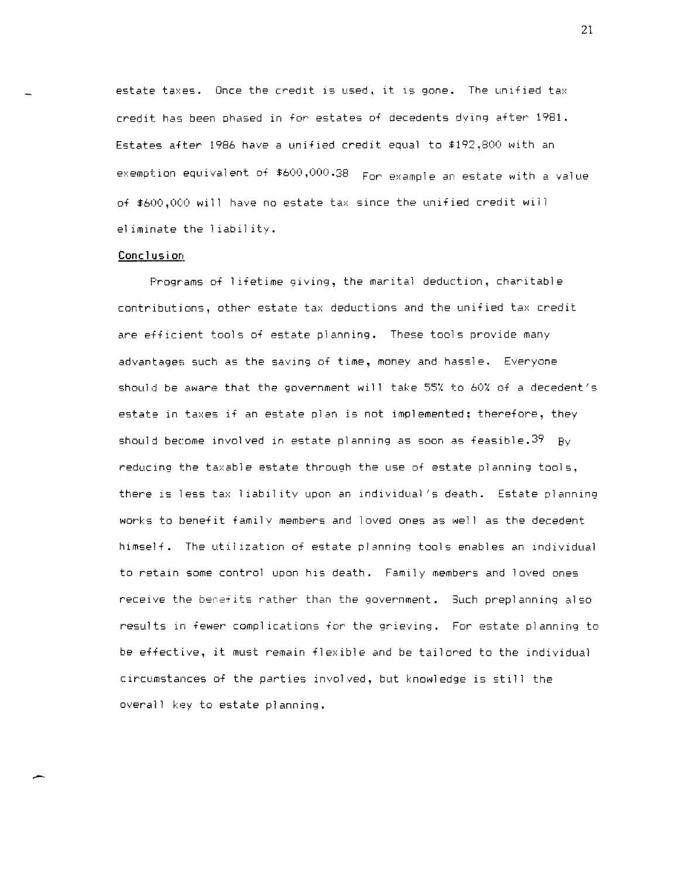estate taxes. Once the credit is used, it is gone. The unified tax credit has been phased in for estates of decedents dying after 1981. Estates after 1986 have a unified credit equal to \$192,800 with an exemption equivalent of \$600,000.38 For example an estate with a value of \$600,000 will have no estate tax since the unified credit will eliminate the liability.

#### Conclusion

Programs of lifetime giving, the marital deduction, charitable contributions, other estate tax deductions and the unified tax credit are efficient tools of estate planning. These tools provide many advantages such as the saving of time, money and hassle. Everyone should be aware that the government will take 55% to 60% of a decedent's estate in taxes if an estate plan is not implemented; therefore, they should become involved in estate planning as soon as feasible.  $39$  By reducing the taxable estate through the use of estate planning tools, there is less tax liability upon an individual's death. Estate planning works to benefit family members and loved ones as well as the decedent himself. The utilization of estate planning tools enables an individual to retain some control upon his death. Family members and loved ones receive the benefits rather than the government. Such preplanning also results in fewer complications for the grieving. For estate planning to be effective, it must remain flexible and be tailored to the individual circumstances of the parties involved, but knowledge is still the overall key to estate planning.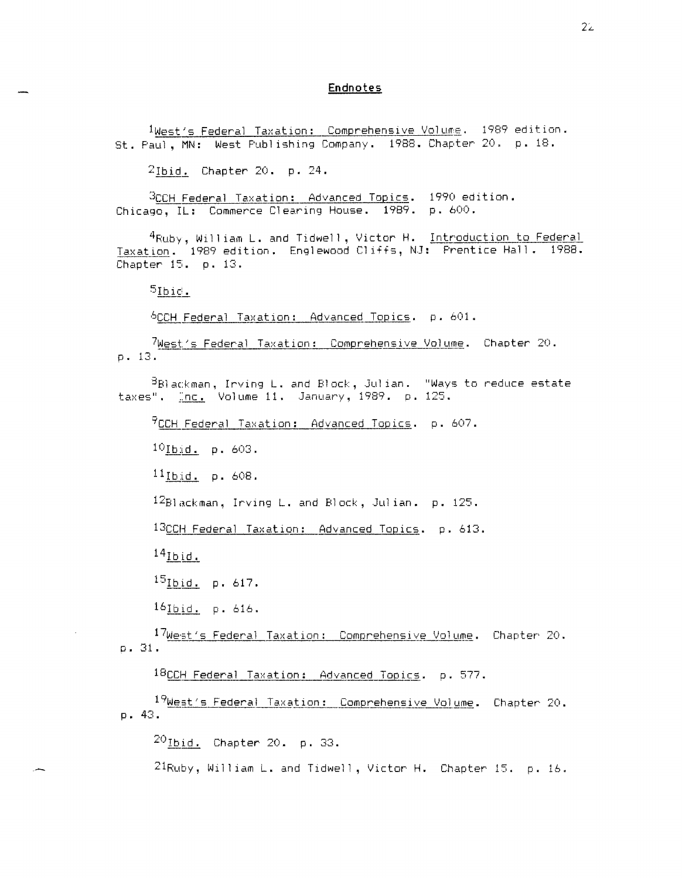## **Endnotes**

1West's Federal Taxation: Comprehensive Volume. 1989 edition. St. Paul, MN: West Publishing Company. 1988. Chapter 20. p. 18.

2Ibid. Chapter 20. p. 24.

3CCH Federal Taxation: Advanced Topics. 1990 edition. Chicago, IL: Commerce Clearing House. 1989. p. 600.

4Ruby, William L. and Tidwell, Victor H. Introduction to Federal Taxation. 1989 edition. Englewood Cliffs, NJ: Prentice Hall. 1988.<br>Chapter 15. p. 13.

 $5$ Ibid.

6CCH Federal Taxation: Advanced Topics. p. 601.

7West's Federal Taxation: Comprehensive Volume. Chapter 20.  $D. 13.$ 

BBlackman, Inving L. and Block, Julian. "Ways to reduce estate taxes". Inc. Volume 11. January, 1989. p. 125.

 $9$ CCH Federal Taxation: Advanced Topics. p. 607.

10Ibid. p. 603.

<sup>11</sup>Ibid. p. 608.

 $^{12}$ Blackman, Inving L. and Block, Julian. p. 125.

13CCH Federal Taxation: Advanced Topics. p. 613.

 $14$ Ibid.

 $15$ Ibid. p. 617.

161bid. p. 616.

17West's Federal Taxation: Comprehensive Volume. Chapter 20. p. 31.

18CCH Federal Taxation: Advanced Topics. p. 577.

19West's Federal Taxation: Comprehensive Volume. Chapter 20. p. 43.

 $^{20}$ Ibid. Chapter 20. p. 33.

21Ruby, William L. and Tidwell, Victor H. Chapter 15. p. 16.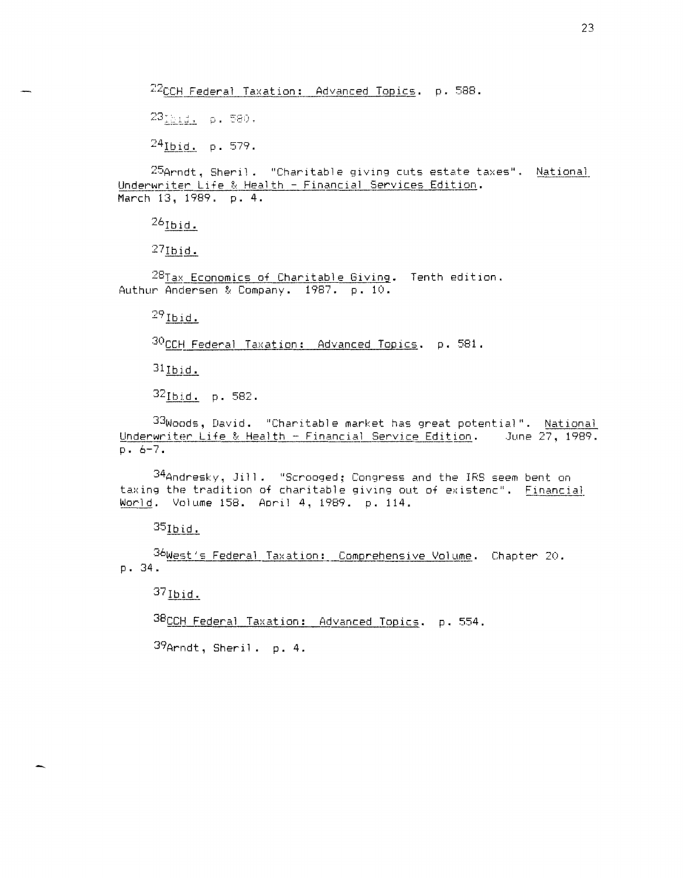<sup>22</sup>CCH Federal Taxation: Advanced Topics. p. 588.

231812. p. 580.

 $^{24}$ Ibid. p. 579.

25Arndt, Sheril. "Charitable giving cuts estate taxes". National Underwriter Life & Health - Financial Services Edition. March 13, 1989. p. 4.

 $^{26}$ Ibid.

 $27$ Ibid.

28Tax Economics of Charitable Giving. Tenth edition. Authur Andersen & Company. 1987. p. 10.

 $29$ Ibid.

30CCH Federal Taxation: Advanced Topics. p. 581.

 $31$  Ibid.

32Ibid. p. 582.

33Woods, David. "Charitable market has great potential". National Underwriter Life & Health - Financial Service Edition. June 27, 1989.  $D - 6 - 7$ .

34Andresky, Jill. "Scrooged; Congress and the IRS seem bent on taxing the tradition of charitable giving out of existenc". Financial World. Volume 158. April 4, 1989. p. 114.

 $35$ Ibid.

36West's Federal Taxation: Comprehensive Volume. Chapter 20. p. 34.

 $37$  Ibid.

38CCH Federal Taxation: Advanced Topics. p. 554.

 $39$ Arndt, Sheril. p. 4.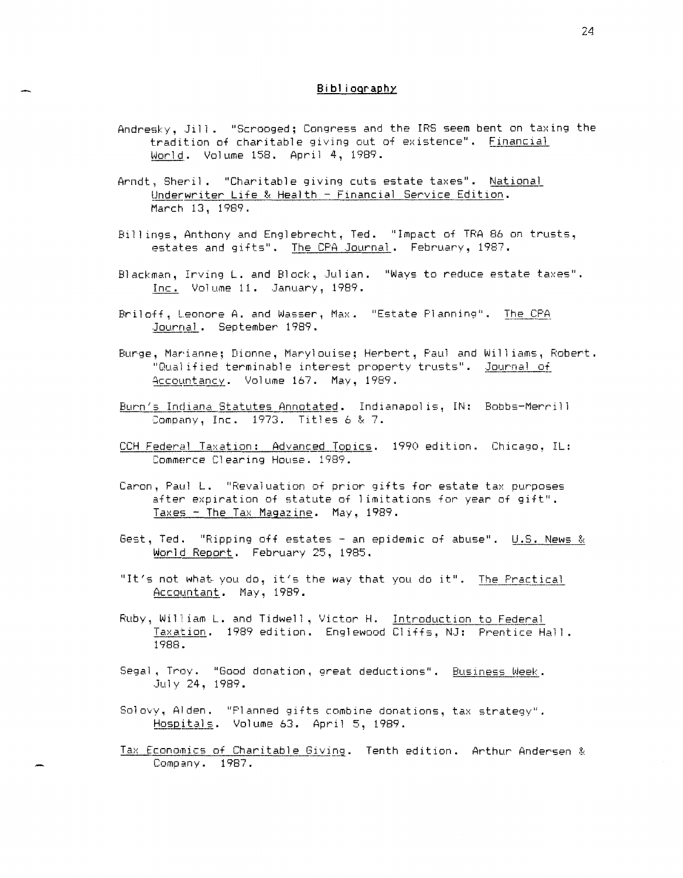# Bibliography

- Andresky, Jill. "Scrooged; Congress and the IRS seem bent on taxing the tradition of charitable giving out of existence". Financial World. Volume 158. April 4, 1989.
- Arndt, Sheril. "Charitable giving cuts estate taxes". National Underwriter Life & Health - Financial Service Edition. March 13, 1989.
- Billings, Anthony and Englebrecht, Ted. "Impact of TRA 86 on trusts, estates and gifts". The CPA Journal. February, 1987.
- Blackman, Inving L. and Block, Julian. "Ways to reduce estate taxes". Inc. Volume 11. January, 1989.
- Briloff, Leonore A. and Wasser, Max. "Estate Planning". The CPA Journal. September 1989.
- Burge, Marianne; Dionne, Marylouise; Herbert, Paul and Williams, Robert. "Qualified terminable interest property trusts". Journal of Accountancy. Volume 167. May, 1989.
- Burn's Indiana Statutes Annotated. Indianapolis, IN: Bobbs-Merrill Company, Inc. 1973. Titles 6 & 7.
- CCH Federal Taxation: Advanced Topics. 1990 edition. Chicago, IL: Commerce Clearing House. 1989.
- Caron, Paul L. "Revaluation of prior gifts for estate tax purposes after expiration of statute of limitations for year of gift". Taxes - The Tax Magazine. May, 1989.
- Gest, Ted. "Ripping off estates an epidemic of abuse". U.S. News & World Report. February 25, 1985.
- "It's not what you do, it's the way that you do it". The Practical Accountant. May, 1989.
- Ruby, William L. and Tidwell, Victor H. Introduction to Federal Taxation. 1989 edition. Englewood Cliffs, NJ: Prentice Hall. 1988.
- Segal, Troy. "Good donation, great deductions". Business Week. July 24, 1989.
- Solovy, Alden. "Planned gifts combine donations, tax strategy". Hospitals. Volume 63. April 5, 1989.
- Tax Economics of Charitable Giving. Tenth edition. Arthur Andersen & Company. 1987.